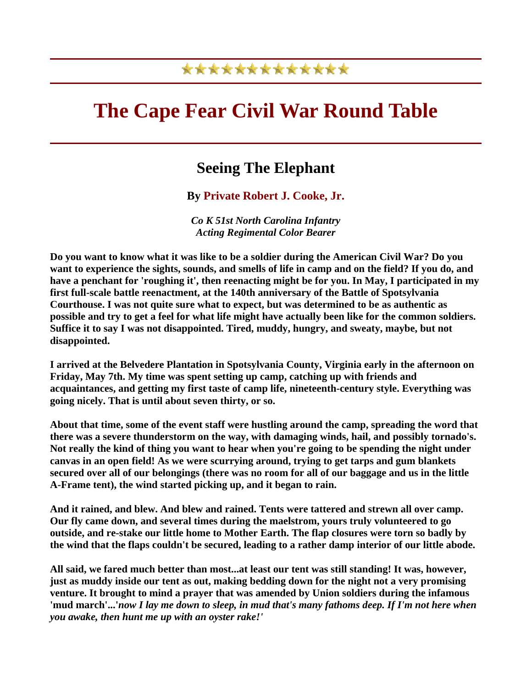## \*\*\*\*\*\*\*\*\*\*\*\*\*

## **The Cape Fear Civil War Round Table**

## **Seeing The Elephant**

**By Private Robert J. Cooke, Jr.**

*Co K 51st North Carolina Infantry Acting Regimental Color Bearer*

**Do you want to know what it was like to be a soldier during the American Civil War? Do you want to experience the sights, sounds, and smells of life in camp and on the field? If you do, and have a penchant for 'roughing it', then reenacting might be for you. In May, I participated in my first full-scale battle reenactment, at the 140th anniversary of the Battle of Spotsylvania Courthouse. I was not quite sure what to expect, but was determined to be as authentic as possible and try to get a feel for what life might have actually been like for the common soldiers. Suffice it to say I was not disappointed. Tired, muddy, hungry, and sweaty, maybe, but not disappointed.** 

**I arrived at the Belvedere Plantation in Spotsylvania County, Virginia early in the afternoon on Friday, May 7th. My time was spent setting up camp, catching up with friends and acquaintances, and getting my first taste of camp life, nineteenth-century style. Everything was going nicely. That is until about seven thirty, or so.** 

**About that time, some of the event staff were hustling around the camp, spreading the word that there was a severe thunderstorm on the way, with damaging winds, hail, and possibly tornado's. Not really the kind of thing you want to hear when you're going to be spending the night under canvas in an open field! As we were scurrying around, trying to get tarps and gum blankets secured over all of our belongings (there was no room for all of our baggage and us in the little A-Frame tent), the wind started picking up, and it began to rain.** 

**And it rained, and blew. And blew and rained. Tents were tattered and strewn all over camp. Our fly came down, and several times during the maelstrom, yours truly volunteered to go outside, and re-stake our little home to Mother Earth. The flap closures were torn so badly by the wind that the flaps couldn't be secured, leading to a rather damp interior of our little abode.** 

**All said, we fared much better than most...at least our tent was still standing! It was, however, just as muddy inside our tent as out, making bedding down for the night not a very promising venture. It brought to mind a prayer that was amended by Union soldiers during the infamous 'mud march'...'***now I lay me down to sleep, in mud that's many fathoms deep. If I'm not here when you awake, then hunt me up with an oyster rake!'*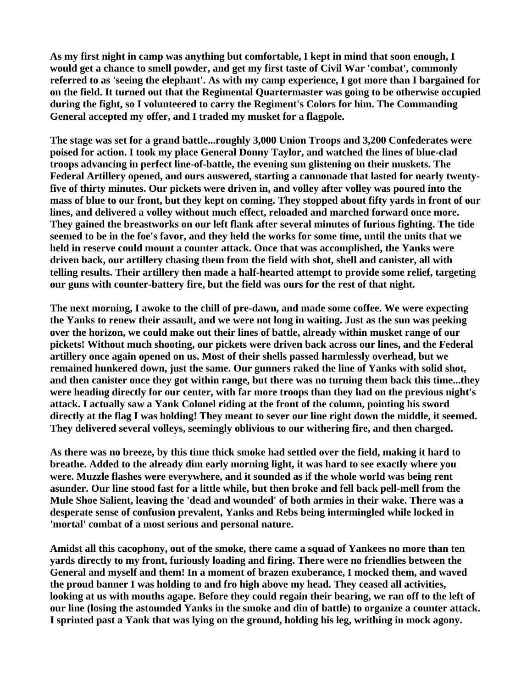**As my first night in camp was anything but comfortable, I kept in mind that soon enough, I would get a chance to smell powder, and get my first taste of Civil War 'combat', commonly referred to as 'seeing the elephant'. As with my camp experience, I got more than I bargained for on the field. It turned out that the Regimental Quartermaster was going to be otherwise occupied during the fight, so I volunteered to carry the Regiment's Colors for him. The Commanding General accepted my offer, and I traded my musket for a flagpole.** 

**The stage was set for a grand battle...roughly 3,000 Union Troops and 3,200 Confederates were poised for action. I took my place General Donny Taylor, and watched the lines of blue-clad troops advancing in perfect line-of-battle, the evening sun glistening on their muskets. The Federal Artillery opened, and ours answered, starting a cannonade that lasted for nearly twentyfive of thirty minutes. Our pickets were driven in, and volley after volley was poured into the mass of blue to our front, but they kept on coming. They stopped about fifty yards in front of our lines, and delivered a volley without much effect, reloaded and marched forward once more. They gained the breastworks on our left flank after several minutes of furious fighting. The tide seemed to be in the foe's favor, and they held the works for some time, until the units that we held in reserve could mount a counter attack. Once that was accomplished, the Yanks were driven back, our artillery chasing them from the field with shot, shell and canister, all with telling results. Their artillery then made a half-hearted attempt to provide some relief, targeting our guns with counter-battery fire, but the field was ours for the rest of that night.** 

**The next morning, I awoke to the chill of pre-dawn, and made some coffee. We were expecting the Yanks to renew their assault, and we were not long in waiting. Just as the sun was peeking over the horizon, we could make out their lines of battle, already within musket range of our pickets! Without much shooting, our pickets were driven back across our lines, and the Federal artillery once again opened on us. Most of their shells passed harmlessly overhead, but we remained hunkered down, just the same. Our gunners raked the line of Yanks with solid shot, and then canister once they got within range, but there was no turning them back this time...they were heading directly for our center, with far more troops than they had on the previous night's attack. I actually saw a Yank Colonel riding at the front of the column, pointing his sword directly at the flag I was holding! They meant to sever our line right down the middle, it seemed. They delivered several volleys, seemingly oblivious to our withering fire, and then charged.** 

**As there was no breeze, by this time thick smoke had settled over the field, making it hard to breathe. Added to the already dim early morning light, it was hard to see exactly where you were. Muzzle flashes were everywhere, and it sounded as if the whole world was being rent asunder. Our line stood fast for a little while, but then broke and fell back pell-mell from the Mule Shoe Salient, leaving the 'dead and wounded' of both armies in their wake. There was a desperate sense of confusion prevalent, Yanks and Rebs being intermingled while locked in 'mortal' combat of a most serious and personal nature.** 

**Amidst all this cacophony, out of the smoke, there came a squad of Yankees no more than ten yards directly to my front, furiously loading and firing. There were no friendlies between the General and myself and them! In a moment of brazen exuberance, I mocked them, and waved the proud banner I was holding to and fro high above my head. They ceased all activities, looking at us with mouths agape. Before they could regain their bearing, we ran off to the left of our line (losing the astounded Yanks in the smoke and din of battle) to organize a counter attack. I sprinted past a Yank that was lying on the ground, holding his leg, writhing in mock agony.**